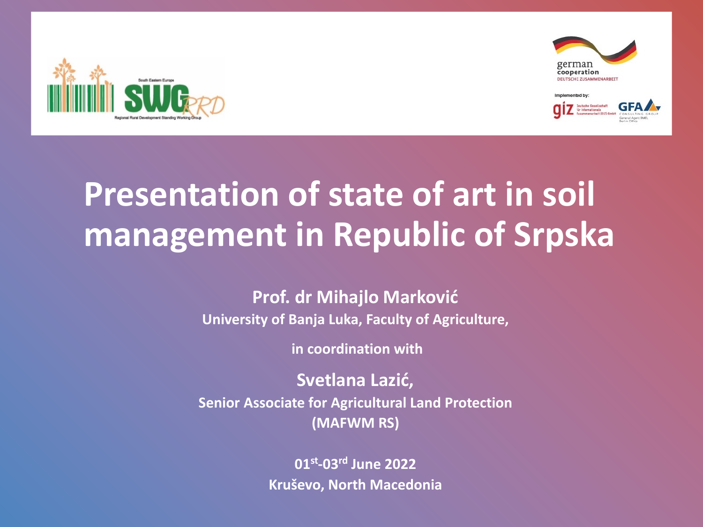





# **Presentation of state of art in soil management in Republic of Srpska**

**Prof. dr Mihajlo Marković**

**University of Banja Luka, Faculty of Agriculture,**

**in coordination with** 

**Svetlana Lazić, Senior Associate for Agricultural Land Protection (MAFWM RS)**

> **01st-03rd June 2022 Kruševo, North Macedonia**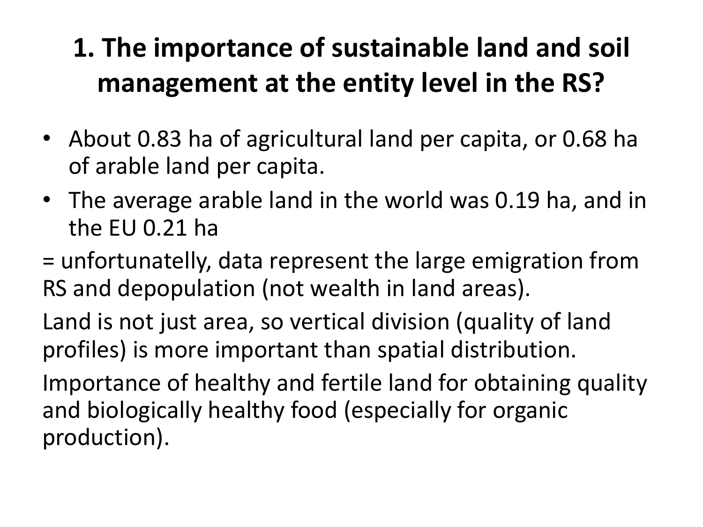# **1. The importance of sustainable land and soil management at the entity level in the RS?**

- About 0.83 ha of agricultural land per capita, or 0.68 ha of arable land per capita.
- The average arable land in the world was 0.19 ha, and in the EU 0.21 ha
- = unfortunatelly, data represent the large emigration from RS and depopulation (not wealth in land areas).

Land is not just area, so vertical division (quality of land profiles) is more important than spatial distribution.

Importance of healthy and fertile land for obtaining quality and biologically healthy food (especially for organic production).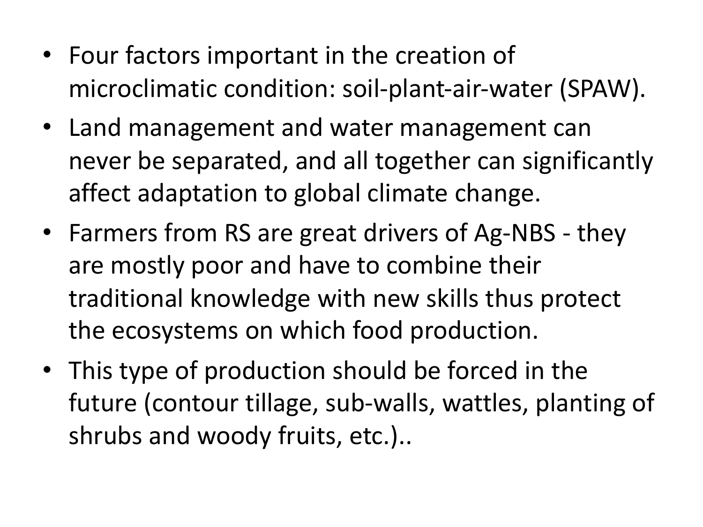- Four factors important in the creation of microclimatic condition: soil-plant-air-water (SPAW).
- Land management and water management can never be separated, and all together can significantly affect adaptation to global climate change.
- Farmers from RS are great drivers of Ag-NBS they are mostly poor and have to combine their traditional knowledge with new skills thus protect the ecosystems on which food production.
- This type of production should be forced in the future (contour tillage, sub-walls, wattles, planting of shrubs and woody fruits, etc.)..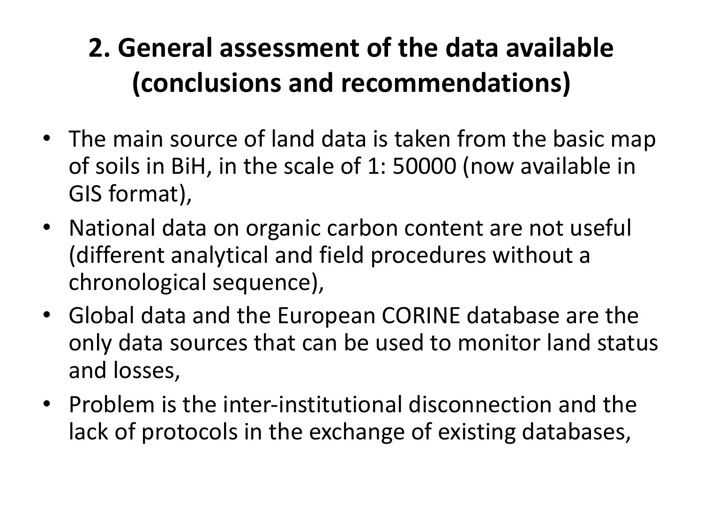# **2. General assessment of the data available (conclusions and recommendations)**

- The main source of land data is taken from the basic map of soils in BiH, in the scale of 1: 50000 (now available in GIS format),
- National data on organic carbon content are not useful (different analytical and field procedures without a chronological sequence),
- Global data and the European CORINE database are the only data sources that can be used to monitor land status and losses,
- Problem is the inter-institutional disconnection and the lack of protocols in the exchange of existing databases,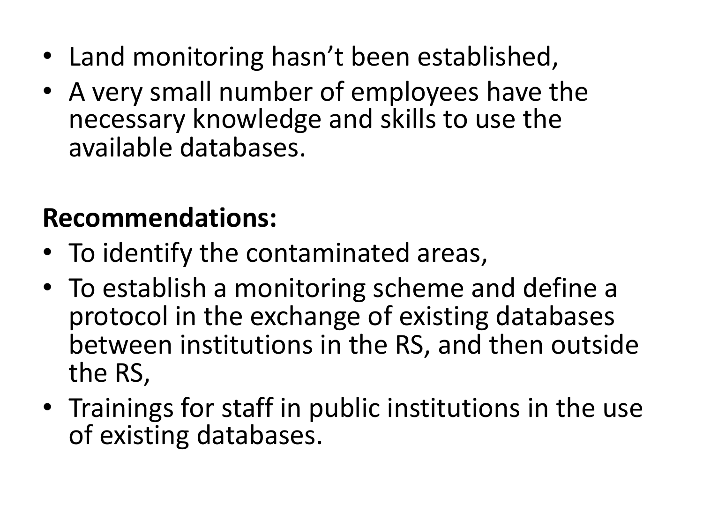- Land monitoring hasn't been established,
- A very small number of employees have the necessary knowledge and skills to use the available databases.

### **Recommendations:**

- To identify the contaminated areas,
- To establish a monitoring scheme and define a protocol in the exchange of existing databases between institutions in the RS, and then outside the RS,
- Trainings for staff in public institutions in the use of existing databases.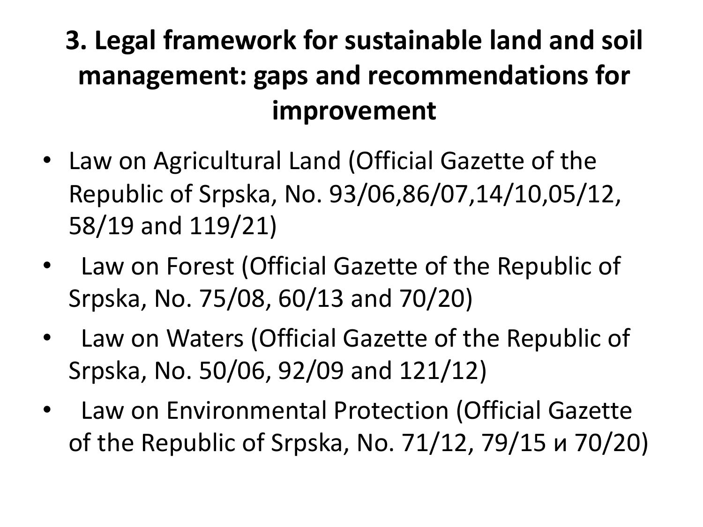# **3. Legal framework for sustainable land and soil management: gaps and recommendations for improvement**

- Law on Agricultural Land (Official Gazette of the Republic of Srpska, No. 93/06,86/07,14/10,05/12, 58/19 and 119/21)
- Law on Forest (Official Gazette of the Republic of Srpska, No. 75/08, 60/13 and 70/20)
- Law on Waters (Official Gazette of the Republic of Srpska, No. 50/06, 92/09 and 121/12)
- Law on Environmental Protection (Official Gazette of the Republic of Srpska, No. 71/12, 79/15 и 70/20)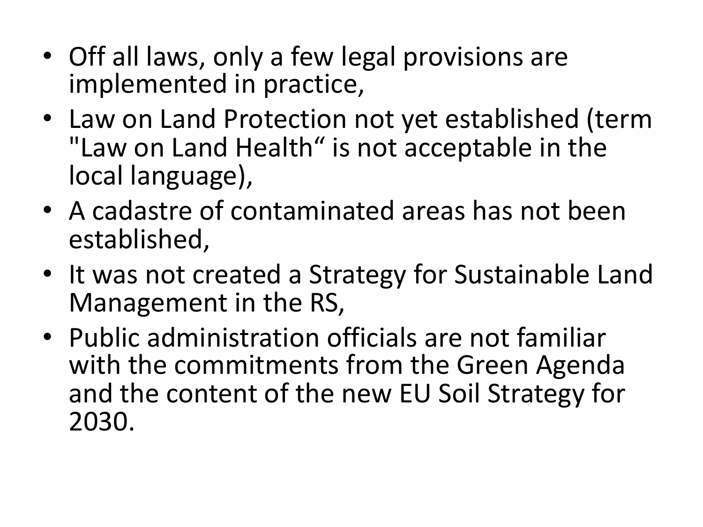- Off all laws, only a few legal provisions are implemented in practice,
- Law on Land Protection not yet established (term "Law on Land Health" is not acceptable in the local language),
- A cadastre of contaminated areas has not been established,
- It was not created a Strategy for Sustainable Land Management in the RS,
- Public administration officials are not familiar with the commitments from the Green Agenda and the content of the new EU Soil Strategy for 2030.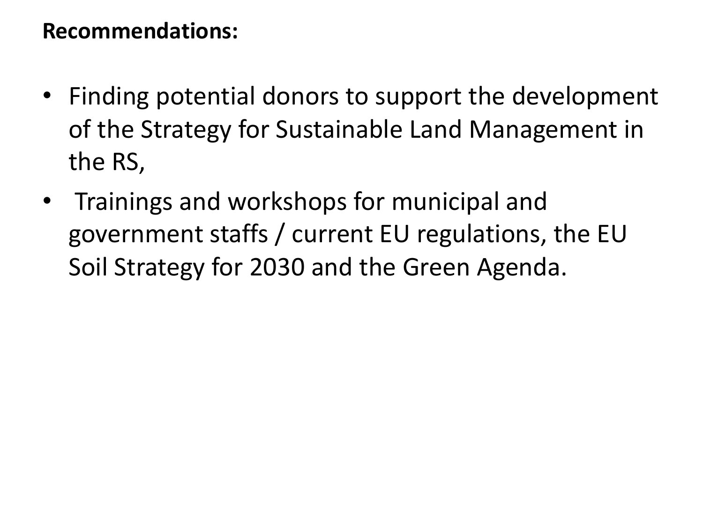#### **Recommendations:**

- Finding potential donors to support the development of the Strategy for Sustainable Land Management in the RS,
- Trainings and workshops for municipal and government staffs / current EU regulations, the EU Soil Strategy for 2030 and the Green Agenda.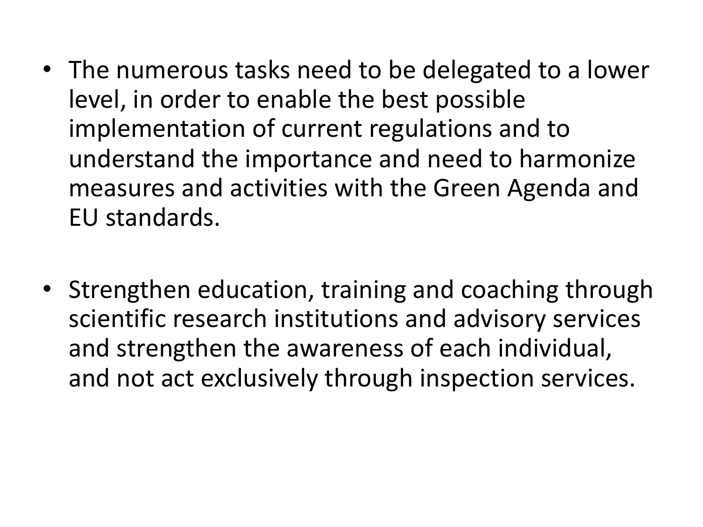- The numerous tasks need to be delegated to a lower level, in order to enable the best possible implementation of current regulations and to understand the importance and need to harmonize measures and activities with the Green Agenda and EU standards.
- Strengthen education, training and coaching through scientific research institutions and advisory services and strengthen the awareness of each individual, and not act exclusively through inspection services.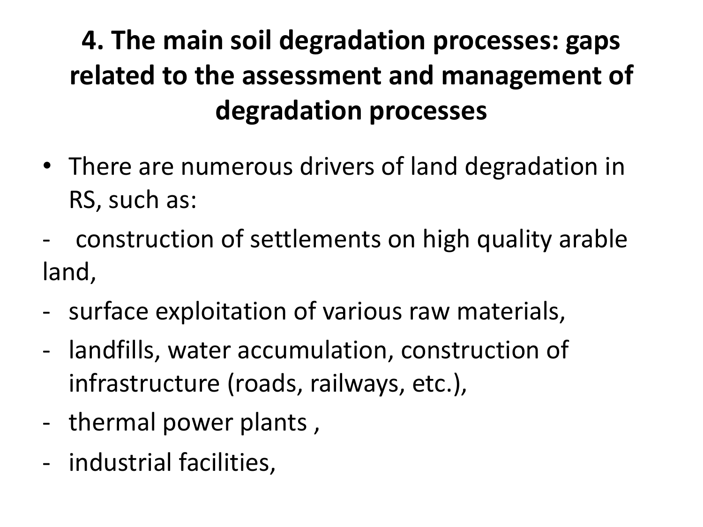# **4. The main soil degradation processes: gaps related to the assessment and management of degradation processes**

- There are numerous drivers of land degradation in RS, such as:
- construction of settlements on high quality arable land,
- surface exploitation of various raw materials,
- landfills, water accumulation, construction of infrastructure (roads, railways, etc.),
- thermal power plants ,
- industrial facilities,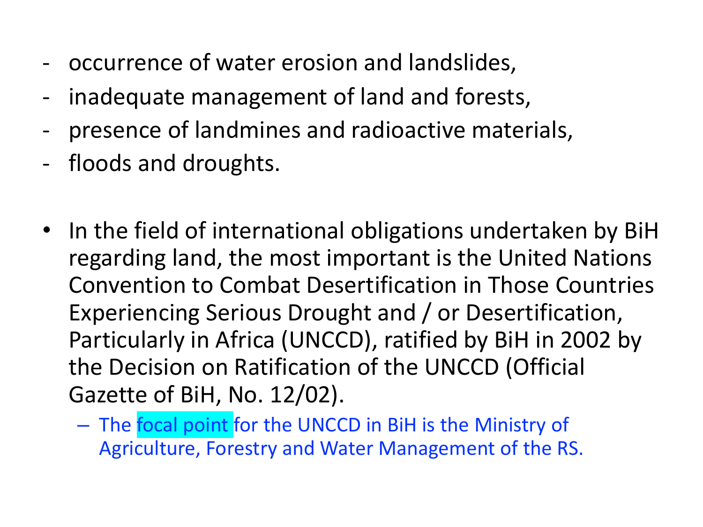- occurrence of water erosion and landslides,
- inadequate management of land and forests,
- presence of landmines and radioactive materials,
- floods and droughts.
- In the field of international obligations undertaken by BiH regarding land, the most important is the United Nations Convention to Combat Desertification in Those Countries Experiencing Serious Drought and / or Desertification, Particularly in Africa (UNCCD), ratified by BiH in 2002 by the Decision on Ratification of the UNCCD (Official Gazette of BiH, No. 12/02).
	- The focal point for the UNCCD in BiH is the Ministry of Agriculture, Forestry and Water Management of the RS.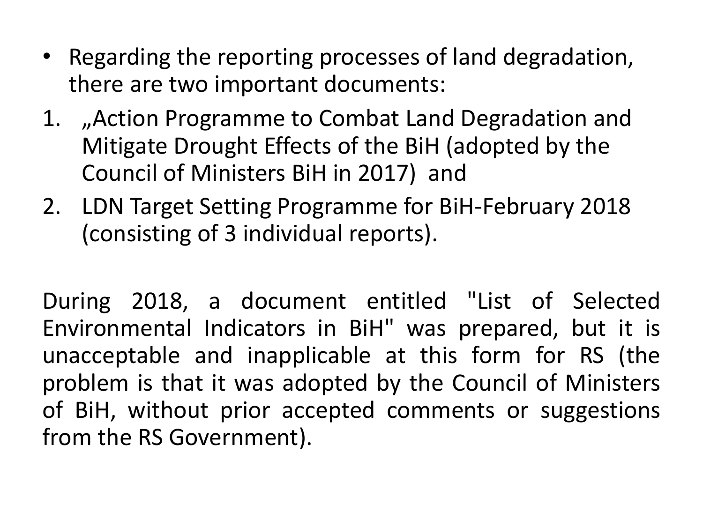- Regarding the reporting processes of land degradation, there are two important documents:
- 1. "Action Programme to Combat Land Degradation and Mitigate Drought Effects of the BiH (adopted by the Council of Ministers BiH in 2017) and
- 2. LDN Target Setting Programme for BiH-February 2018 (consisting of 3 individual reports).

During 2018, a document entitled "List of Selected Environmental Indicators in BiH" was prepared, but it is unacceptable and inapplicable at this form for RS (the problem is that it was adopted by the Council of Ministers of BiH, without prior accepted comments or suggestions from the RS Government).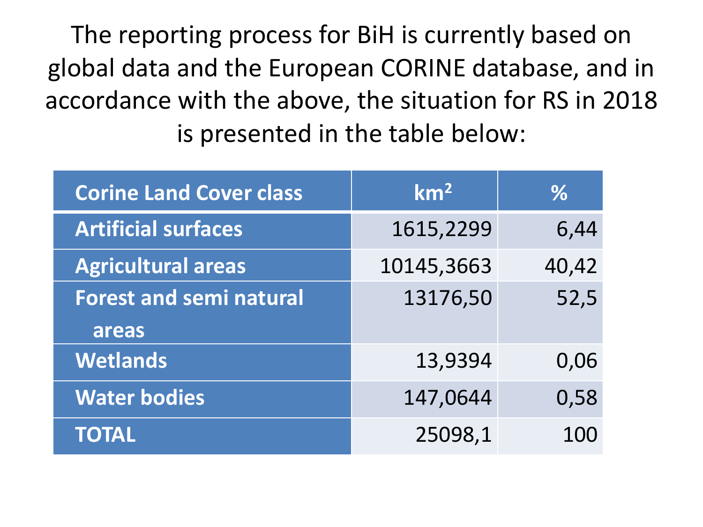The reporting process for BiH is currently based on global data and the European CORINE database, and in accordance with the above, the situation for RS in 2018 is presented in the table below:

| <b>Corine Land Cover class</b> | km <sup>2</sup> | $\%$  |
|--------------------------------|-----------------|-------|
| <b>Artificial surfaces</b>     | 1615,2299       | 6,44  |
| Agricultural areas             | 10145,3663      | 40,42 |
| <b>Forest and semi natural</b> | 13176,50        | 52,5  |
| areas                          |                 |       |
| <b>Wetlands</b>                | 13,9394         | 0,06  |
| <b>Water bodies</b>            | 147,0644        | 0,58  |
| <b>TOTAL</b>                   | 25098,1         | 100   |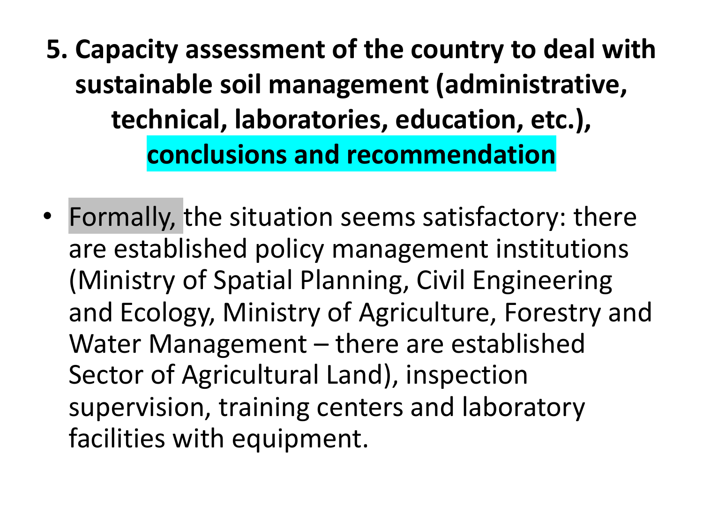**5. Capacity assessment of the country to deal with sustainable soil management (administrative, technical, laboratories, education, etc.), conclusions and recommendation**

• Formally, the situation seems satisfactory: there are established policy management institutions (Ministry of Spatial Planning, Civil Engineering and Ecology, Ministry of Agriculture, Forestry and Water Management – there are established Sector of Agricultural Land), inspection supervision, training centers and laboratory facilities with equipment.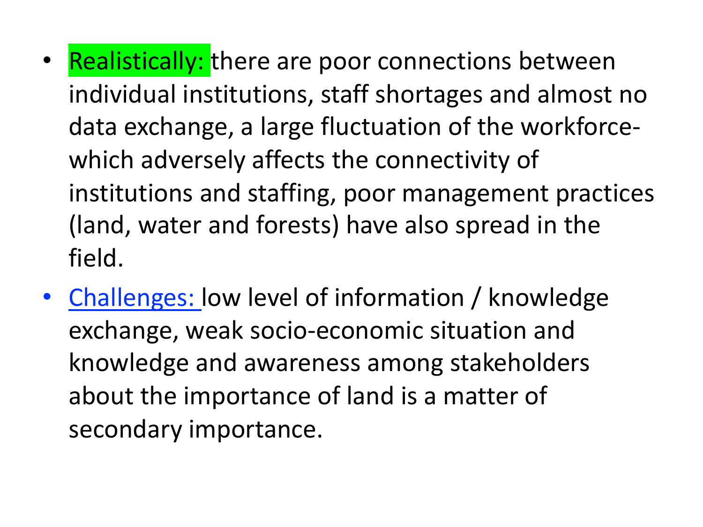- Realistically: there are poor connections between individual institutions, staff shortages and almost no data exchange, a large fluctuation of the workforcewhich adversely affects the connectivity of institutions and staffing, poor management practices (land, water and forests) have also spread in the field.
- Challenges: low level of information / knowledge exchange, weak socio-economic situation and knowledge and awareness among stakeholders about the importance of land is a matter of secondary importance.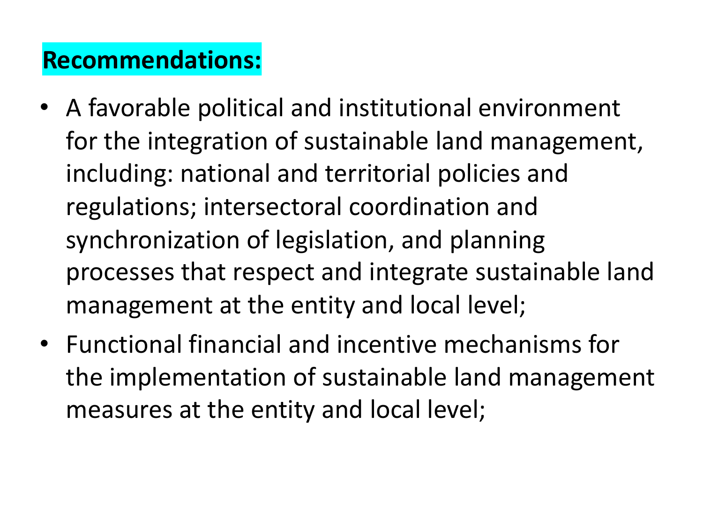### **Recommendations:**

- A favorable political and institutional environment for the integration of sustainable land management, including: national and territorial policies and regulations; intersectoral coordination and synchronization of legislation, and planning processes that respect and integrate sustainable land management at the entity and local level;
- Functional financial and incentive mechanisms for the implementation of sustainable land management measures at the entity and local level;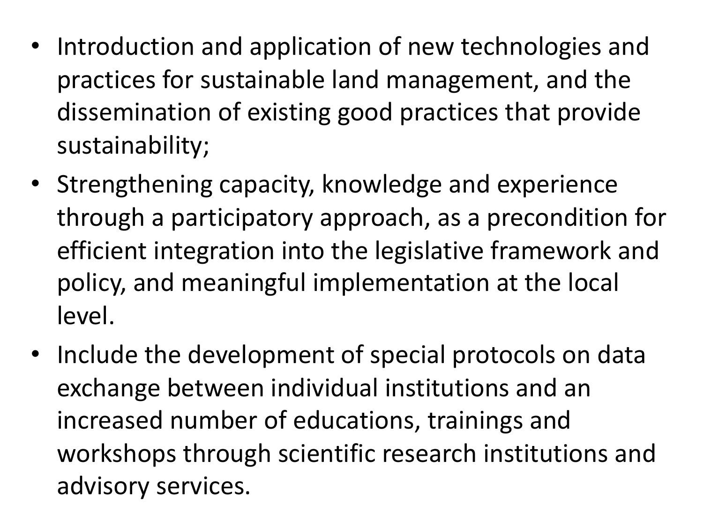- Introduction and application of new technologies and practices for sustainable land management, and the dissemination of existing good practices that provide sustainability;
- Strengthening capacity, knowledge and experience through a participatory approach, as a precondition for efficient integration into the legislative framework and policy, and meaningful implementation at the local level.
- Include the development of special protocols on data exchange between individual institutions and an increased number of educations, trainings and workshops through scientific research institutions and advisory services.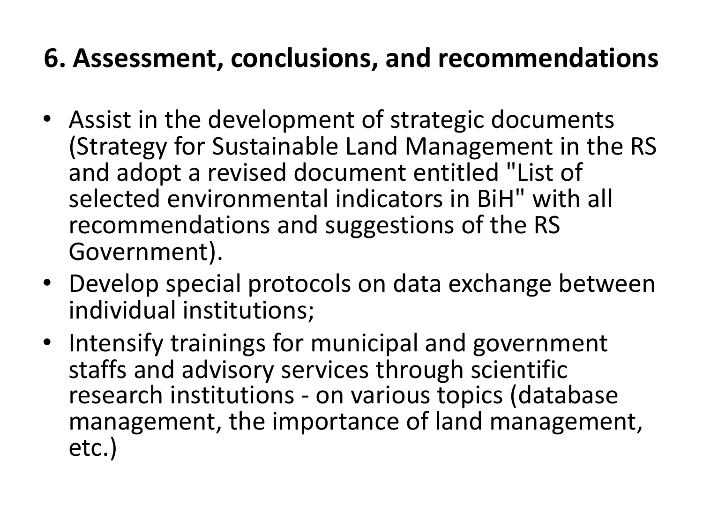### **6. Assessment, conclusions, and recommendations**

- Assist in the development of strategic documents (Strategy for Sustainable Land Management in the RS and adopt a revised document entitled "List of selected environmental indicators in BiH" with all recommendations and suggestions of the RS Government).
- Develop special protocols on data exchange between individual institutions;
- Intensify trainings for municipal and government staffs and advisory services through scientific research institutions - on various topics (database management, the importance of land management, etc.)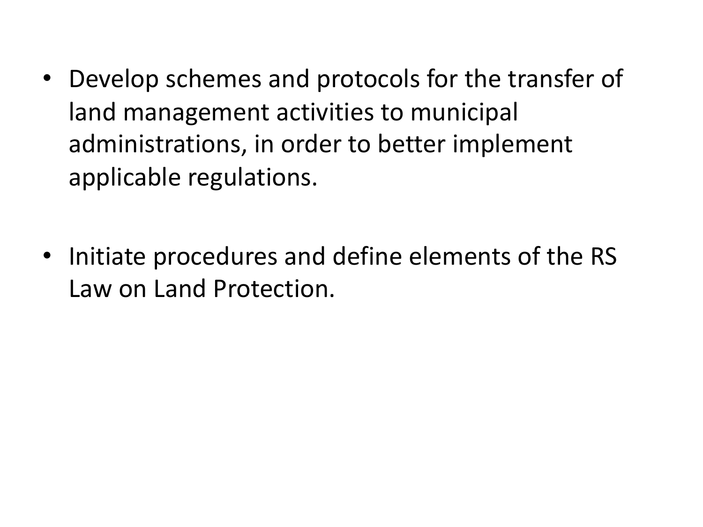- Develop schemes and protocols for the transfer of land management activities to municipal administrations, in order to better implement applicable regulations.
- Initiate procedures and define elements of the RS Law on Land Protection.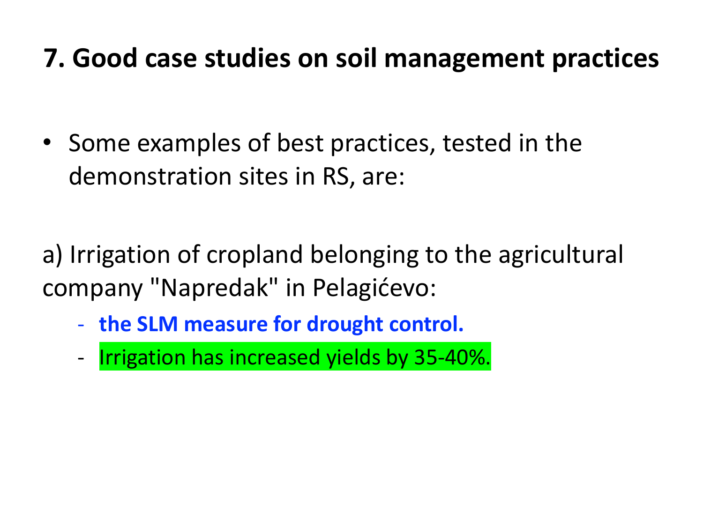### **7. Good case studies on soil management practices**

• Some examples of best practices, tested in the demonstration sites in RS, are:

a) Irrigation of cropland belonging to the agricultural company "Napredak" in Pelagićevo:

- **the SLM measure for drought control.**
- Irrigation has increased yields by 35-40%.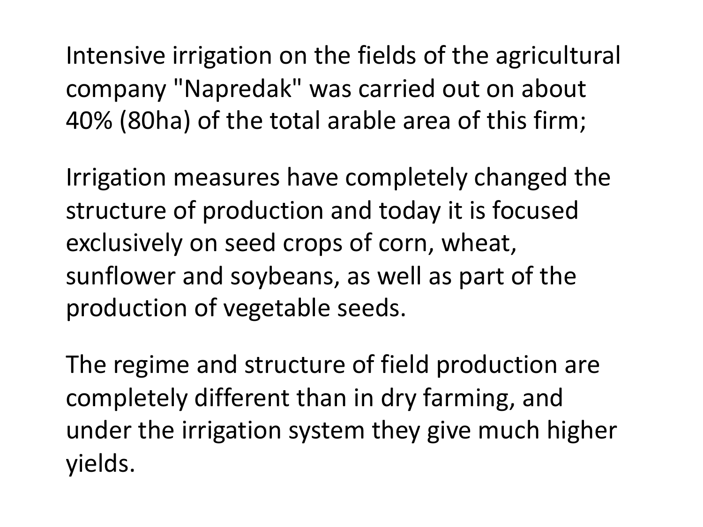Intensive irrigation on the fields of the agricultural company "Napredak" was carried out on about 40% (80ha) of the total arable area of this firm;

Irrigation measures have completely changed the structure of production and today it is focused exclusively on seed crops of corn, wheat, sunflower and soybeans, as well as part of the production of vegetable seeds.

The regime and structure of field production are completely different than in dry farming, and under the irrigation system they give much higher yields.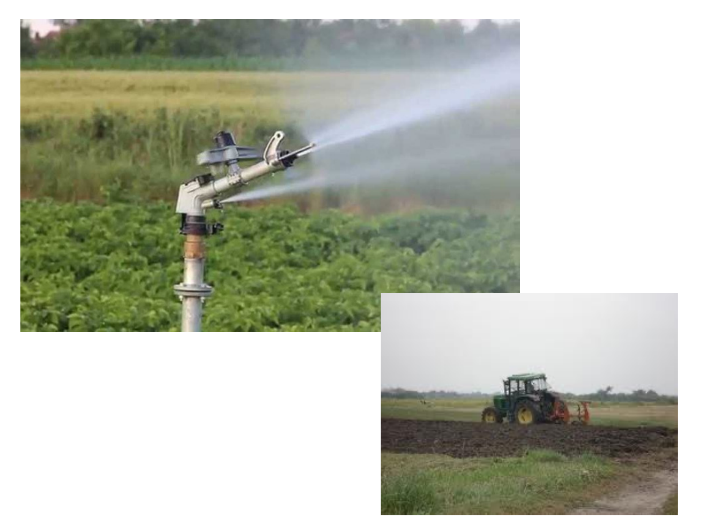

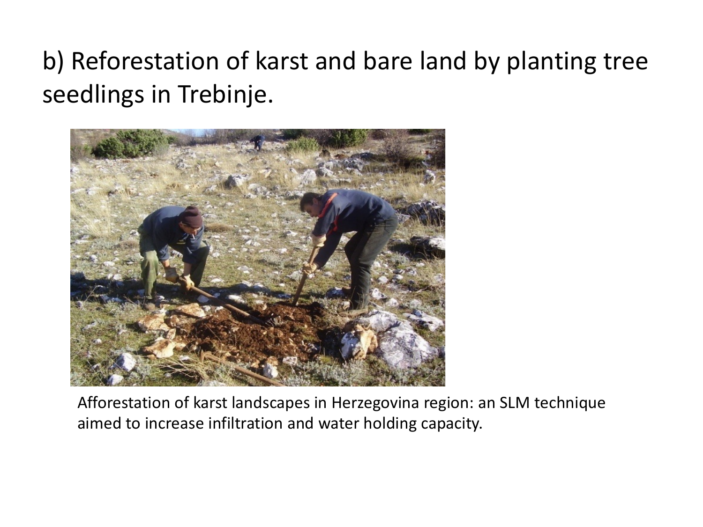### b) Reforestation of karst and bare land by planting tree seedlings in Trebinje.



Afforestation of karst landscapes in Herzegovina region: an SLM technique aimed to increase infiltration and water holding capacity.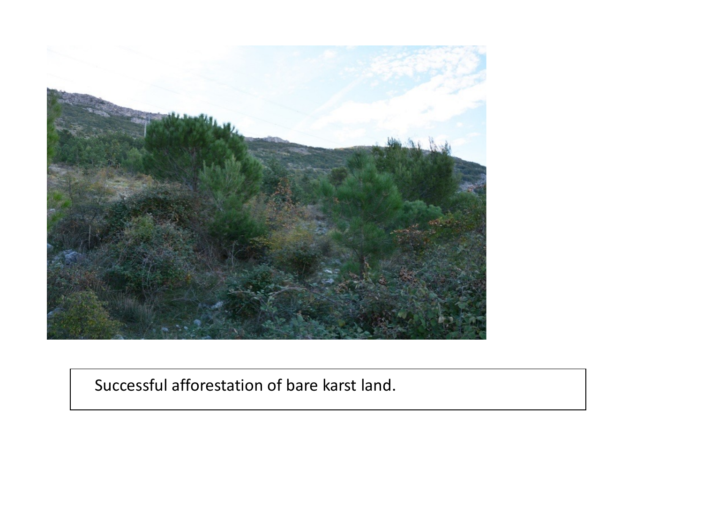

#### Successful afforestation of bare karst land.